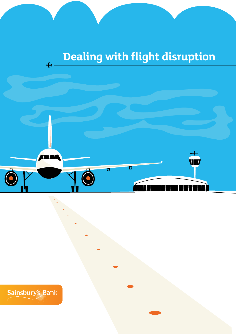# **Dealing with flight disruption**



Sainsbury's Bank

 $\overline{\mathbf{+}}$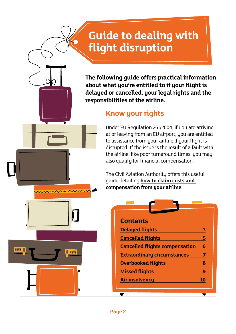### **Guide to dealing with flight disruption**

**The following guide offers practical information about what you're entitled to if your flight is delayed or cancelled, your legal rights and the responsibilities of the airline.**

### **Know your rights**

Under EU Regulation 261/2004, if you are arriving at or leaving from an EU airport, you are entitled to assistance from your airline if your flight is disrupted. If the issue is the result of a fault with the airline, like poor turnaround times, you may also qualify for financial compensation.

The Civil Aviation Authority offers this useful guide detailing **[how to claim costs and](http://www.caa.co.uk/default.aspx?catid=2211&pagetype=90&pageid=15438)  [compensation from your airline.](http://www.caa.co.uk/default.aspx?catid=2211&pagetype=90&pageid=15438)**

| <b>Contents</b>                       |    |
|---------------------------------------|----|
| <b>Delayed flights</b>                | 3  |
| <b>Cancelled flights</b>              | 5  |
| <b>Cancelled flights compensation</b> | 6  |
| <b>Extraordinary circumstances</b>    | 7  |
| <b>Overbooked flights</b>             | 8  |
| <b>Missed flights</b>                 | 9  |
| <b>Air insolvency</b>                 | 10 |
|                                       |    |

**189 B** 

日本区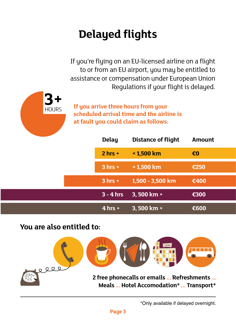# <span id="page-2-0"></span>**Delayed flights**

If you're flying on an EU-licensed airline on a flight to or from an EU airport, you may be entitled to assistance or compensation under European Union Regulations if your flight is delayed.



**If you arrive three hours from your scheduled arrival time and the airline is at fault you could claim as follows:**

| <b>Delay</b> | <b>Distance of flight</b> | <b>Amount</b>           |
|--------------|---------------------------|-------------------------|
| $2 hrs +$    | < 1,500 km                | $\epsilon$ <sub>0</sub> |
| $3 hrs +$    | < 1,500 km                | €250                    |
| $3 hrs +$    | 1,500 - 3,500 km          | €400                    |
| $3 - 4$ hrs  | $3,500$ km +              | €300                    |
| $4$ hrs +    | $3,500$ km +              | €600                    |

### **You are also entitled to:**



\*Only available if delayed overnight.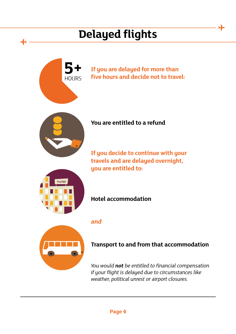## **Delayed flights**

⊁





#### **Transport to and from that accommodation**

*You would not be entitled to financial compensation if your flight is delayed due to circumstances like weather, political unrest or airport closures.*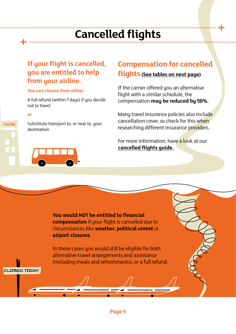## **Cancelled flights**

#### <span id="page-4-0"></span>**If your flight is cancelled, you are entitled to help from your airline.**

#### *You can choose from either*

A full refund (within 7 days) if you decide not to travel

#### *or*

CLOSED TODAY

hotel

Substitute transport to, or near to, your destination

### **Compensation for cancelled**

#### **flights [\(See tables on next page\)](#page-5-0)**

If the carrier offered you an alternative flight with a similar schedule, the compensation **may be reduced by 50%.**

Many travel insurance policies also include cancellation cover, so check for this when researching different insurance providers.

For more information, have a look at our **[cancelled flights guide.](http://www.sainsburysbank.co.uk/insuring/travel/cancelled-flights.shtml)**

..............

**You would NOT be entitled to financial compensation** if your flight is cancelled due to circumstances like **weather, political unrest** or **airport closures**.

In these cases you would still be eligible for both alternative travel arrangements and assistance (including meals and refreshments), or a full refund.

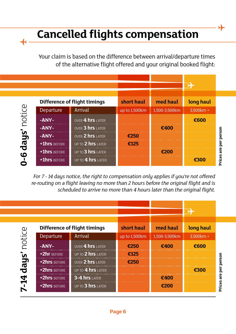## **Cancelled flights compensation**

<span id="page-5-0"></span> $\div$ 

Your claim is based on the difference between arrival/departure times of the alternative flight offered and your original booked flight:



*For 7 - 14 days notice, the right to compensation only applies if you're not offered re-routing on a flight leaving no more than 2 hours before the original flight and is scheduled to arrive no more than 4 hours later than the original flight.*

| Difference of flight timings |                   | short haul    | med haul      | long haul |  |
|------------------------------|-------------------|---------------|---------------|-----------|--|
| Departure                    | <b>Arrival</b>    | up to 1,500km | 1,500-3,500km | 3,500km + |  |
| -ANY-                        | OVER 4 hrs LATER  | €250          | €400          | €600      |  |
| +2hr BEFORE                  | UP TO 2 hrs LATER | €125          |               |           |  |
| +2hrs BEFORE                 | OVER 2 hrs LATER  | €250          |               |           |  |
| +2hrs BEFORE                 | UP TO 4 hrs LATER |               |               | €300      |  |
| +2hrs BEFORE                 | $3-4$ hrs LATER   |               | €400          |           |  |
| +2hrs BEFORE                 | UP TO 3 hrs LATER |               | €200          |           |  |

**Prices are per person** Prices are per person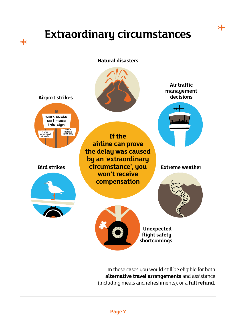### **Extraordinary circumstances**

<span id="page-6-0"></span> $\overline{\bf{+}}$ 

⊁

**Natural disasters**



In these cases you would still be eligible for both **alternative travel arrangements** and assistance (including meals and refreshments), or a **full refund.**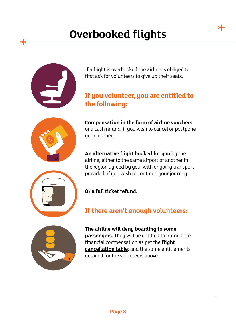## **Overbooked flights**

<span id="page-7-0"></span>

If a flight is overbooked the airline is obliged to first ask for volunteers to give up their seats.

### **If you volunteer, you are entitled to the following:**



**Compensation in the form of airline vouchers** or a cash refund, if you wish to cancel or postpone your journey.

**An alternative flight booked for you** by the airline, either to the same airport or another in the region agreed by you, with ongoing transport provided, if you wish to continue your journey.



**Or a full ticket refund.**

### **If there aren't enough volunteers:**



**The airline will deny boarding to some passengers.** They will be entitled to immediate financial compensation as per the **[flight](#page-5-0)  [cancellation table](#page-5-0)**; and the same entitlements detailed for the volunteers above.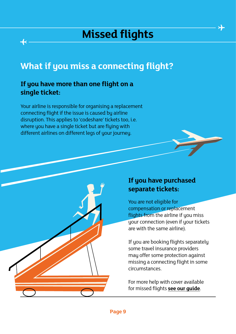### **Missed flights**

### <span id="page-8-0"></span>**What if you miss a connecting flight?**

#### **If you have more than one flight on a single ticket:**

Your airline is responsible for organising a replacement connecting flight if the issue is caused by airline disruption. This applies to 'codeshare' tickets too, i.e. where you have a single ticket but are flying with different airlines on different legs of your journey.



#### **If you have purchased separate tickets:**

You are not eligible for compensation or replacement flights from the airline if you miss your connection (even if your tickets are with the same airline).

If you are booking flights separately some travel insurance providers may offer some protection against missing a connecting flight in some circumstances.

For more help with cover available for missed flights **[see our guide](http://www.sainsburysbank.co.uk/insuring/travel/missed-flights.shtml)**.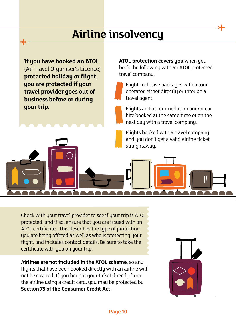### **Airline insolvency**

<span id="page-9-0"></span>**If you have booked an ATOL**  (Air Travel Organiser's Licence) **protected holiday or flight, you are protected if your travel provider goes out of business before or during your trip.**

**ATOL protection covers you** when you book the following with an ATOL protected travel company:

Flight-inclusive packages with a tour operator, either directly or through a travel agent.

Flights and accommodation and/or car hire booked at the same time or on the next day with a travel company.

Check with your travel provider to see if your trip is ATOL protected, and if so, ensure that you are issued with an ATOL certificate. This describes the type of protection you are being offered as well as who is protecting your flight, and includes contact details. Be sure to take the certificate with you on your trip.

**Airlines are not included in the [ATOL scheme](http://www.caa.co.uk/default.aspx?catid=1080&pagetype=90&pageid=13227)**, so any flights that have been booked directly with an airline will not be covered. If you bought your ticket directly from the airline using a credit card, you may be protected by **[Section 75 of the Consumer Credit Act.](http://www.which.co.uk/consumer-rights/regulation/section-75-of-the-consumer-credit-act)**